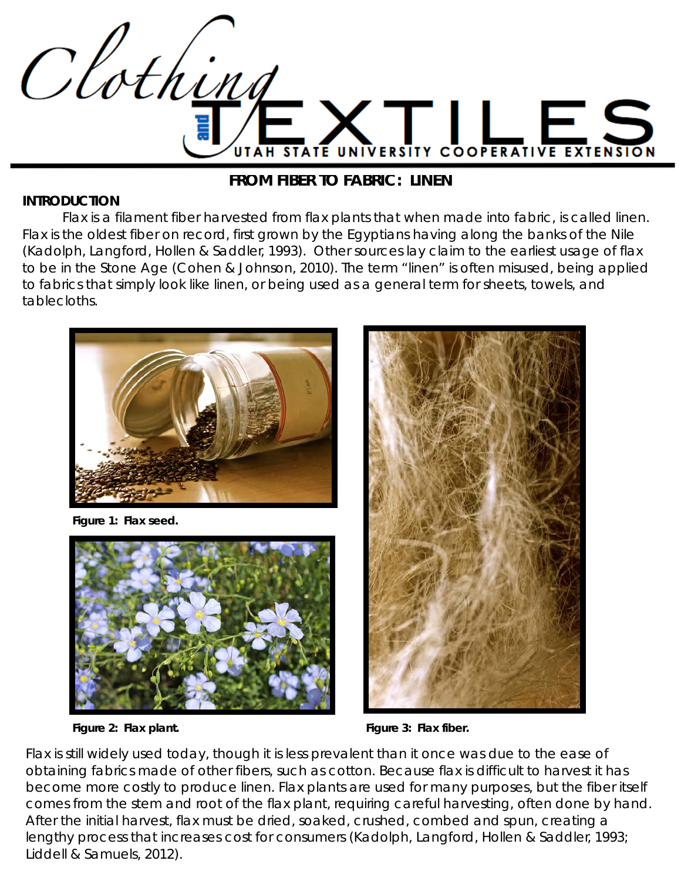

#### **FROM FIBER TO FABRIC: LINEN**

#### **INTRODUCTION**

 Flax is a filament fiber harvested from flax plants that when made into fabric, is called linen. Flax is the oldest fiber on record, first grown by the Egyptians having along the banks of the Nile (Kadolph, Langford, Hollen & Saddler, 1993). Other sources lay claim to the earliest usage of flax to be in the Stone Age (Cohen & Johnson, 2010). The term "linen" is often misused, being applied to fabrics that simply look like linen, or being used as a general term for sheets, towels, and tablecloths.



*Figure 1: Flax seed.*



*Figure 2: Flax plant. Figure 3: Flax fiber.*



Flax is still widely used today, though it is less prevalent than it once was due to the ease of obtaining fabrics made of other fibers, such as cotton. Because flax is difficult to harvest it has become more costly to produce linen. Flax plants are used for many purposes, but the fiber itself comes from the stem and root of the flax plant, requiring careful harvesting, often done by hand. After the initial harvest, flax must be dried, soaked, crushed, combed and spun, creating a lengthy process that increases cost for consumers (Kadolph, Langford, Hollen & Saddler, 1993; Liddell & Samuels, 2012).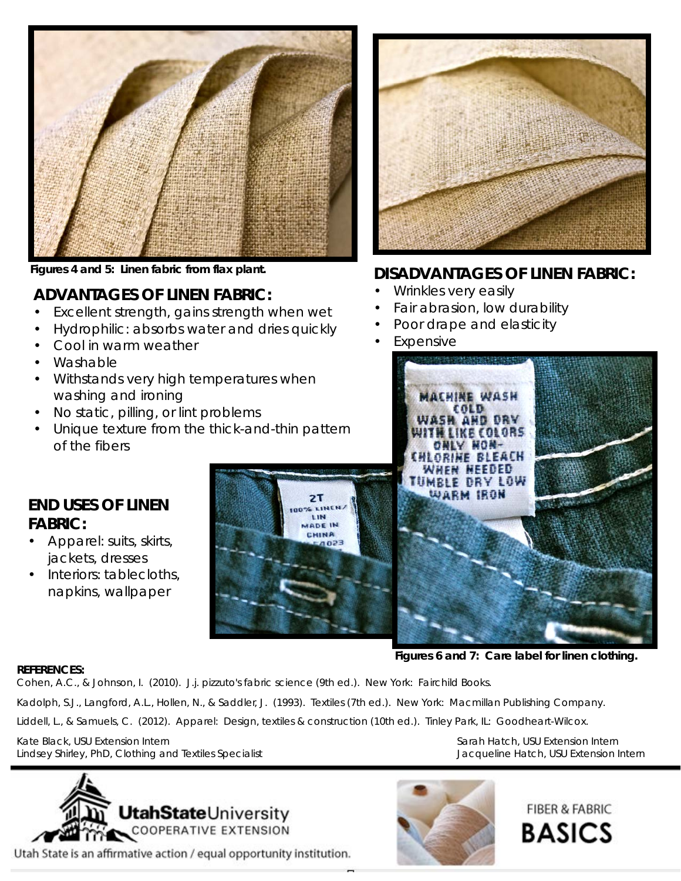

*Figures 4 and 5: Linen fabric from flax plant.*

## **ADVANTAGES OF LINEN FABRIC:**

- Excellent strength, gains strength when wet
- Hydrophilic: absorbs water and dries quickly
- Cool in warm weather
- Washable
- Withstands very high temperatures when washing and ironing
- No static, pilling, or lint problems
- Unique texture from the thick-and-thin pattern of the fibers



## **DISADVANTAGES OF LINEN FABRIC:**

- Wrinkles very easily
- Fair abrasion, low durability
- Poor drape and elasticity
- **Expensive**



*Figures 6 and 7: Care label for linen clothing.*

# **END USES OF LINEN FABRIC:**

- Apparel: suits, skirts, jackets, dresses
- Interiors: tablecloths, napkins, wallpaper



**REFERENCES:**

Cohen, A.C., & Johnson, I. (2010). *J.j. pizzuto's fabric science* (9th ed.). New York: Fairchild Books.

Kadolph, S.J., Langford, A.L., Hollen, N., & Saddler, J. (1993). *Textiles* (7th ed.). New York: Macmillan Publishing Company.

Liddell, L., & Samuels, C. (2012). *Apparel: Design, textiles & construction* (10th ed.). Tinley Park, IL: Goodheart-Wilcox.

Kate Black, USU Extension Intern Sarah Hatch, USU Extension Intern Lindsey Shirley, PhD, Clothing and Textiles Specialist Jacqueline Hatch, USU Extension Intern



Utah State is an affirmative action / equal opportunity institution.



**FIBER & FABRIC BASICS**